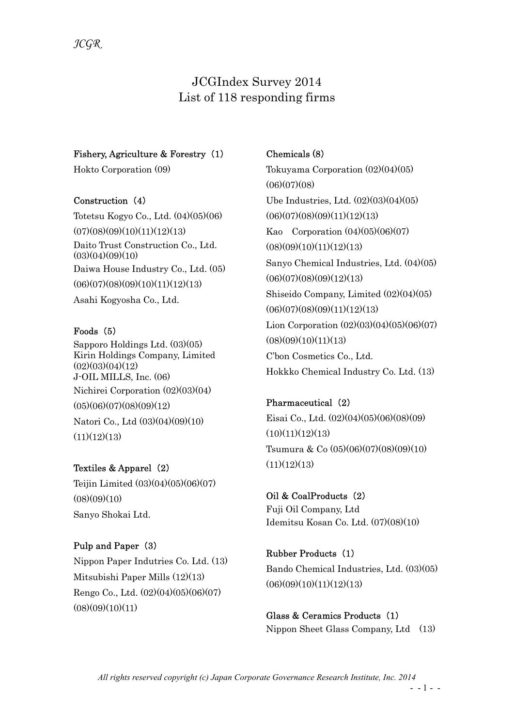# JCGIndex Survey 2014 List of 118 responding firms

### Fishery, Agriculture & Forestry (1)

Hokto Corporation (09)

### Construction (4)

Totetsu Kogyo Co., Ltd. (04)(05)(06)  $(07)(08)(09)(10)(11)(12)(13)$ Daito Trust Construction Co., Ltd.  $(03)(04)(09)(10)$ Daiwa House Industry Co., Ltd. (05)  $(06)(07)(08)(09)(10)(11)(12)(13)$ Asahi Kogyosha Co., Ltd.

### Foods (5)

Sapporo Holdings Ltd. (03)(05) Kirin Holdings Company, Limited  $(02)(03)(04)(12)$ J-OIL MILLS, Inc. (06) Nichirei Corporation (02)(03)(04)  $(05)(06)(07)(08)(09)(12)$ Natori Co., Ltd (03)(04)(09)(10)  $(11)(12)(13)$ 

Textiles & Apparel (2) Teijin Limited (03)(04)(05)(06)(07)  $(08)(09)(10)$ Sanyo Shokai Ltd.

# Pulp and Paper (3)

Nippon Paper Indutries Co. Ltd. (13) Mitsubishi Paper Mills (12)(13) Rengo Co., Ltd. (02)(04)(05)(06)(07)  $(08)(09)(10)(11)$ 

# Chemicals (8)

Tokuyama Corporation (02)(04)(05)  $(06)(07)(08)$ Ube Industries, Ltd. (02)(03)(04)(05)  $(06)(07)(08)(09)(11)(12)(13)$ Kao Corporation (04)(05)(06)(07)  $(08)(09)(10)(11)(12)(13)$ Sanyo Chemical Industries, Ltd. (04)(05)  $(06)(07)(08)(09)(12)(13)$ Shiseido Company, Limited (02)(04)(05)  $(06)(07)(08)(09)(11)(12)(13)$ Lion Corporation (02)(03)(04)(05)(06)(07)  $(08)(09)(10)(11)(13)$ C'bon Cosmetics Co., Ltd. Hokkko Chemical Industry Co. Ltd. (13)

Pharmaceutical (2) Eisai Co., Ltd. (02)(04)(05)(06)(08)(09)  $(10)(11)(12)(13)$ Tsumura & Co (05)(06)(07)(08)(09)(10)  $(11)(12)(13)$ 

Oil & CoalProducts (2) Fuji Oil Company, Ltd Idemitsu Kosan Co. Ltd. (07)(08)(10)

Rubber Products (1) Bando Chemical Industries, Ltd. (03)(05)  $(06)(09)(10)(11)(12)(13)$ 

Glass & Ceramics Products (1) Nippon Sheet Glass Company, Ltd (13)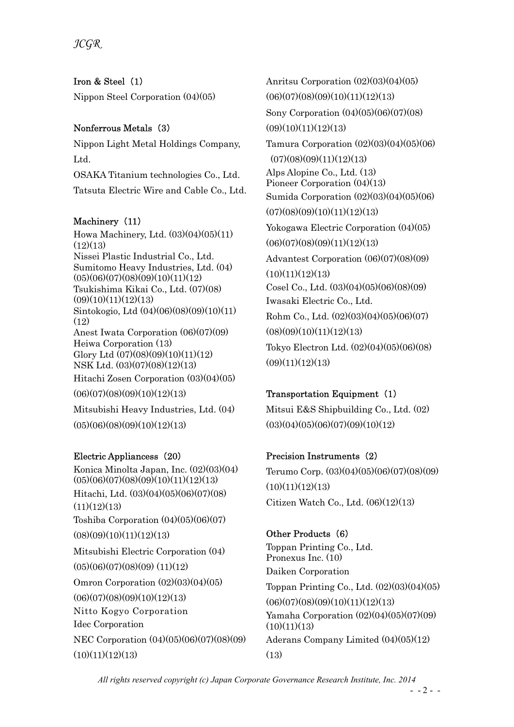JCGR

Iron & Steel (1) Nippon Steel Corporation (04)(05)

# Nonferrous Metals (3)

Nippon Light Metal Holdings Company, Ltd. OSAKA Titanium technologies Co., Ltd. Tatsuta Electric Wire and Cable Co., Ltd.

# Machinery (11)

Howa Machinery, Ltd. (03)(04)(05)(11)  $(12)(13)$ Nissei Plastic Industrial Co., Ltd. Sumitomo Heavy Industries, Ltd. (04)  $(05)(06)(07)(08)(09)(10)(11)(12)$ Tsukishima Kikai Co., Ltd. (07)(08)  $(09)(10)(11)(12)(13)$ Sintokogio, Ltd (04)(06)(08)(09)(10)(11) (12) Anest Iwata Corporation (06)(07)(09) Heiwa Corporation (13) Glory Ltd (07)(08)(09)(10)(11)(12) NSK Ltd. (03)(07)(08)(12)(13) Hitachi Zosen Corporation (03)(04)(05)  $(06)(07)(08)(09)(10)(12)(13)$ Mitsubishi Heavy Industries, Ltd. (04)

 $(05)(06)(08)(09)(10)(12)(13)$ 

# Electric Appliancess (20)

Konica Minolta Japan, Inc. (02)(03)(04)  $(05)(06)(07)(08)(09)(10)(11)(12)(13)$ Hitachi, Ltd. (03)(04)(05)(06)(07)(08)  $(11)(12)(13)$ Toshiba Corporation  $(04)(05)(06)(07)$  $(08)(09)(10)(11)(12)(13)$ Mitsubishi Electric Corporation (04)  $(05)(06)(07)(08)(09)(11)(12)$ Omron Corporation  $(02)(03)(04)(05)$  $(06)(07)(08)(09)(10)(12)(13)$ Nitto Kogyo Corporation Idec Corporation NEC Corporation (04)(05)(06)(07)(08)(09)  $(10)(11)(12)(13)$ 

Anritsu Corporation (02)(03)(04)(05)  $(06)(07)(08)(09)(10)(11)(12)(13)$ Sony Corporation (04)(05)(06)(07)(08)  $(09)(10)(11)(12)(13)$ Tamura Corporation (02)(03)(04)(05)(06)  $(07)(08)(09)(11)(12)(13)$ Alps Alopine Co., Ltd. (13) Pioneer Corporation (04)(13) Sumida Corporation (02)(03)(04)(05)(06)  $(07)(08)(09)(10)(11)(12)(13)$ Yokogawa Electric Corporation (04)(05)  $(06)(07)(08)(09)(11)(12)(13)$ Advantest Corporation (06)(07)(08)(09)  $(10)(11)(12)(13)$ Cosel Co., Ltd. (03)(04)(05)(06)(08)(09) Iwasaki Electric Co., Ltd. Rohm Co., Ltd. (02)(03)(04)(05)(06)(07)  $(08)(09)(10)(11)(12)(13)$ Tokyo Electron Ltd. (02)(04)(05)(06)(08)  $(09)(11)(12)(13)$ 

# Transportation Equipment (1)

Mitsui E&S Shipbuilding Co., Ltd. (02)  $(03)(04)(05)(06)(07)(09)(10)(12)$ 

# Precision Instruments (2)

Terumo Corp. (03)(04)(05)(06)(07)(08)(09)  $(10)(11)(12)(13)$ Citizen Watch Co., Ltd. (06)(12)(13)

# Other Products (6)

Toppan Printing Co., Ltd. Pronexus Inc. (10) Daiken Corporation Toppan Printing Co., Ltd. (02)(03)(04)(05)  $(06)(07)(08)(09)(10)(11)(12)(13)$ Yamaha Corporation (02)(04)(05)(07)(09)  $(10)(11)(13)$ Aderans Company Limited (04)(05)(12) (13)